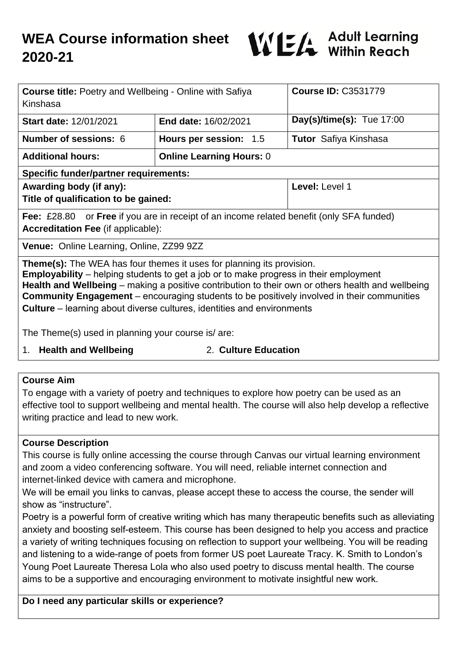

| <b>Course title:</b> Poetry and Wellbeing - Online with Safiya<br>Kinshasa                                                                                                                                                                                                                                                                                                                                                                                              |                                 | <b>Course ID: C3531779</b>   |
|-------------------------------------------------------------------------------------------------------------------------------------------------------------------------------------------------------------------------------------------------------------------------------------------------------------------------------------------------------------------------------------------------------------------------------------------------------------------------|---------------------------------|------------------------------|
| <b>Start date: 12/01/2021</b>                                                                                                                                                                                                                                                                                                                                                                                                                                           | <b>End date: 16/02/2021</b>     | Day(s)/time(s): Tue $17:00$  |
| <b>Number of sessions: 6</b>                                                                                                                                                                                                                                                                                                                                                                                                                                            | Hours per session: 1.5          | <b>Tutor</b> Safiya Kinshasa |
| <b>Additional hours:</b>                                                                                                                                                                                                                                                                                                                                                                                                                                                | <b>Online Learning Hours: 0</b> |                              |
| <b>Specific funder/partner requirements:</b>                                                                                                                                                                                                                                                                                                                                                                                                                            |                                 |                              |
| Awarding body (if any):<br>Title of qualification to be gained:                                                                                                                                                                                                                                                                                                                                                                                                         |                                 | Level: Level 1               |
| <b>Fee:</b> £28.80 or <b>Free</b> if you are in receipt of an income related benefit (only SFA funded)<br><b>Accreditation Fee (if applicable):</b>                                                                                                                                                                                                                                                                                                                     |                                 |                              |
| Venue: Online Learning, Online, ZZ99 9ZZ                                                                                                                                                                                                                                                                                                                                                                                                                                |                                 |                              |
| <b>Theme(s):</b> The WEA has four themes it uses for planning its provision.<br><b>Employability</b> – helping students to get a job or to make progress in their employment<br>Health and Wellbeing – making a positive contribution to their own or others health and wellbeing<br><b>Community Engagement</b> – encouraging students to be positively involved in their communities<br><b>Culture</b> – learning about diverse cultures, identities and environments |                                 |                              |

The Theme(s) used in planning your course is/ are:

1. **Health and Wellbeing** 2. **Culture Education**

### **Course Aim**

To engage with a variety of poetry and techniques to explore how poetry can be used as an effective tool to support wellbeing and mental health. The course will also help develop a reflective writing practice and lead to new work.

### **Course Description**

This course is fully online accessing the course through Canvas our virtual learning environment and zoom a video conferencing software. You will need, reliable internet connection and internet-linked device with camera and microphone.

We will be email you links to canvas, please accept these to access the course, the sender will show as "instructure".

Poetry is a powerful form of creative writing which has many therapeutic benefits such as alleviating anxiety and boosting self-esteem. This course has been designed to help you access and practice a variety of writing techniques focusing on reflection to support your wellbeing. You will be reading and listening to a wide-range of poets from former US poet Laureate Tracy. K. Smith to London's Young Poet Laureate Theresa Lola who also used poetry to discuss mental health. The course aims to be a supportive and encouraging environment to motivate insightful new work.

### **Do I need any particular skills or experience?**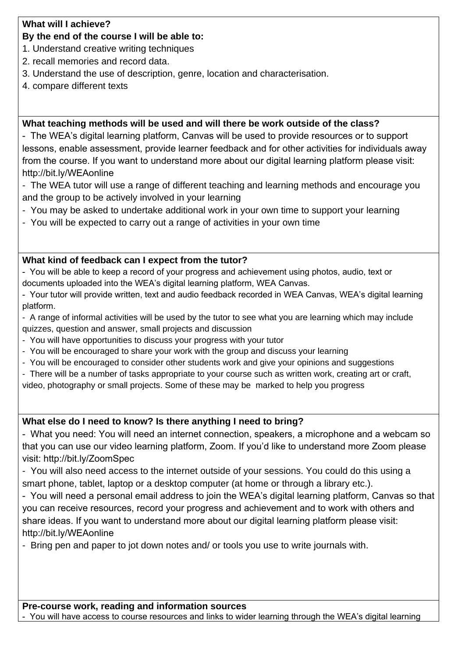### **What will I achieve?**

## **By the end of the course I will be able to:**

- 1. Understand creative writing techniques
- 2. recall memories and record data.
- 3. Understand the use of description, genre, location and characterisation.
- 4. compare different texts

### **What teaching methods will be used and will there be work outside of the class?**

- The WEA's digital learning platform, Canvas will be used to provide resources or to support lessons, enable assessment, provide learner feedback and for other activities for individuals away from the course. If you want to understand more about our digital learning platform please visit: http://bit.ly/WEAonline

- The WEA tutor will use a range of different teaching and learning methods and encourage you and the group to be actively involved in your learning
- You may be asked to undertake additional work in your own time to support your learning
- You will be expected to carry out a range of activities in your own time

## **What kind of feedback can I expect from the tutor?**

- You will be able to keep a record of your progress and achievement using photos, audio, text or documents uploaded into the WEA's digital learning platform, WEA Canvas.

- Your tutor will provide written, text and audio feedback recorded in WEA Canvas, WEA's digital learning platform.

- A range of informal activities will be used by the tutor to see what you are learning which may include quizzes, question and answer, small projects and discussion

- You will have opportunities to discuss your progress with your tutor
- You will be encouraged to share your work with the group and discuss your learning
- You will be encouraged to consider other students work and give your opinions and suggestions
- There will be a number of tasks appropriate to your course such as written work, creating art or craft,

video, photography or small projects. Some of these may be marked to help you progress

# **What else do I need to know? Is there anything I need to bring?**

- What you need: You will need an internet connection, speakers, a microphone and a webcam so that you can use our video learning platform, Zoom. If you'd like to understand more Zoom please visit: http://bit.ly/ZoomSpec

- You will also need access to the internet outside of your sessions. You could do this using a smart phone, tablet, laptop or a desktop computer (at home or through a library etc.).

- You will need a personal email address to join the WEA's digital learning platform, Canvas so that you can receive resources, record your progress and achievement and to work with others and share ideas. If you want to understand more about our digital learning platform please visit: http://bit.ly/WEAonline

- Bring pen and paper to jot down notes and/ or tools you use to write journals with.

**Pre-course work, reading and information sources**

- You will have access to course resources and links to wider learning through the WEA's digital learning